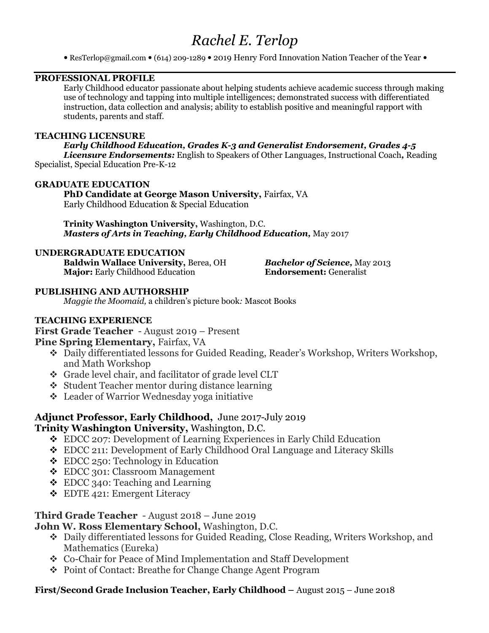# *Rachel E. Terlop*

• ResTerlop@gmail.com • (614) 209-1289 • 2019 Henry Ford Innovation Nation Teacher of the Year •

# **PROFESSIONAL PROFILE**

Early Childhood educator passionate about helping students achieve academic success through making use of technology and tapping into multiple intelligences; demonstrated success with differentiated instruction, data collection and analysis; ability to establish positive and meaningful rapport with students, parents and staff.

#### **TEACHING LICENSURE**

*Early Childhood Education, Grades K-3 and Generalist Endorsement, Grades 4-5 Licensure Endorsements:* English to Speakers of Other Languages, Instructional Coach*,* Reading Specialist, Special Education Pre-K-12

#### **GRADUATE EDUCATION**

# **PhD Candidate at George Mason University,** Fairfax, VA

Early Childhood Education & Special Education

**Trinity Washington University,** Washington, D.C. *Masters of Arts in Teaching, Early Childhood Education,* May 2017

#### **UNDERGRADUATE EDUCATION**

**Baldwin Wallace University,** Berea, OH *Bachelor of Science,* May 2013 **Major:** Early Childhood Education **Endorsement:** Generalist

## **PUBLISHING AND AUTHORSHIP**

*Maggie the Moomaid,* a children's picture book*:* Mascot Books

## **TEACHING EXPERIENCE**

**First Grade Teacher** - August 2019 – Present

## **Pine Spring Elementary,** Fairfax, VA

- v Daily differentiated lessons for Guided Reading, Reader's Workshop, Writers Workshop, and Math Workshop
- v Grade level chair, and facilitator of grade level CLT
- v Student Teacher mentor during distance learning
- v Leader of Warrior Wednesday yoga initiative

# **Adjunct Professor, Early Childhood,** June 2017-July 2019

# **Trinity Washington University,** Washington, D.C.

- v EDCC 207: Development of Learning Experiences in Early Child Education
- v EDCC 211: Development of Early Childhood Oral Language and Literacy Skills
- $\div$  EDCC 250: Technology in Education
- v EDCC 301: Classroom Management
- $\triangle$  EDCC 340: Teaching and Learning
- $\div$  EDTE 421: Emergent Literacy

# **Third Grade Teacher** - August 2018 – June 2019

# **John W. Ross Elementary School,** Washington, D.C.

- v Daily differentiated lessons for Guided Reading, Close Reading, Writers Workshop, and Mathematics (Eureka)
- v Co-Chair for Peace of Mind Implementation and Staff Development
- v Point of Contact: Breathe for Change Change Agent Program

# **First/Second Grade Inclusion Teacher, Early Childhood –** August 2015 – June 2018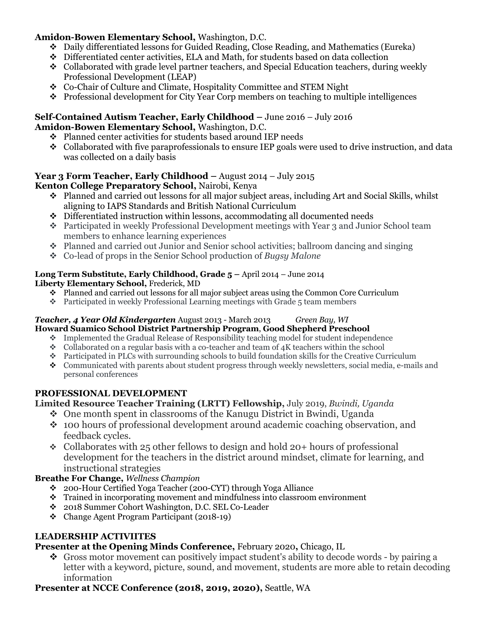# **Amidon-Bowen Elementary School,** Washington, D.C.

- v Daily differentiated lessons for Guided Reading, Close Reading, and Mathematics (Eureka)
- $\div$  Differentiated center activities, ELA and Math, for students based on data collection
- $\bullet$  Collaborated with grade level partner teachers, and Special Education teachers, during weekly Professional Development (LEAP)
- v Co-Chair of Culture and Climate, Hospitality Committee and STEM Night
- v Professional development for City Year Corp members on teaching to multiple intelligences

#### **Self-Contained Autism Teacher, Early Childhood –** June 2016 – July 2016 **Amidon-Bowen Elementary School,** Washington, D.C.

- $\div$  Planned center activities for students based around IEP needs
- $\bullet$  Collaborated with five paraprofessionals to ensure IEP goals were used to drive instruction, and data was collected on a daily basis

# **Year 3 Form Teacher, Early Childhood –** August 2014 – July 2015

# **Kenton College Preparatory School,** Nairobi, Kenya

- $\cdot$  Planned and carried out lessons for all major subject areas, including Art and Social Skills, whilst aligning to IAPS Standards and British National Curriculum
- $\bullet$  Differentiated instruction within lessons, accommodating all documented needs
- v Participated in weekly Professional Development meetings with Year 3 and Junior School team members to enhance learning experiences
- $\cdot$  Planned and carried out Junior and Senior school activities; ballroom dancing and singing
- v Co-lead of props in the Senior School production of *Bugsy Malone*

#### **Long Term Substitute, Early Childhood, Grade 5 –** April 2014 – June 2014 **Liberty Elementary School,** Frederick, MD

- $\div$  Planned and carried out lessons for all major subject areas using the Common Core Curriculum
- $\bullet$  Participated in weekly Professional Learning meetings with Grade 5 team members

#### *Teacher, 4 Year Old Kindergarten* August 2013 - March 2013 *Green Bay, WI* **Howard Suamico School District Partnership Program**, **Good Shepherd Preschool**

- $\bullet$  Implemented the Gradual Release of Responsibility teaching model for student independence
- $\bullet$  Collaborated on a regular basis with a co-teacher and team of 4K teachers within the school
- $\bullet$  Participated in PLCs with surrounding schools to build foundation skills for the Creative Curriculum
- v Communicated with parents about student progress through weekly newsletters, social media, e-mails and personal conferences

# **PROFESSIONAL DEVELOPMENT**

# **Limited Resource Teacher Training (LRTT) Fellowship,** July 2019, *Bwindi, Uganda*

- One month spent in classrooms of the Kanugu District in Bwindi, Uganda
- $\cdot$  100 hours of professional development around academic coaching observation, and feedback cycles.
- Collaborates with 25 other fellows to design and hold 20+ hours of professional development for the teachers in the district around mindset, climate for learning, and instructional strategies

# **Breathe For Change,** *Wellness Champion*

- v 200-Hour Certified Yoga Teacher (200-CYT) through Yoga Alliance
- $\cdot$  Trained in incorporating movement and mindfulness into classroom environment
- v 2018 Summer Cohort Washington, D.C. SEL Co-Leader
- $\div$  Change Agent Program Participant (2018-19)

# **LEADERSHIP ACTIVIITES**

# **Presenter at the Opening Minds Conference,** February 2020**,** Chicago, IL

 $\bullet$  Gross motor movement can positively impact student's ability to decode words - by pairing a letter with a keyword, picture, sound, and movement, students are more able to retain decoding information

# **Presenter at NCCE Conference (2018, 2019, 2020),** Seattle, WA